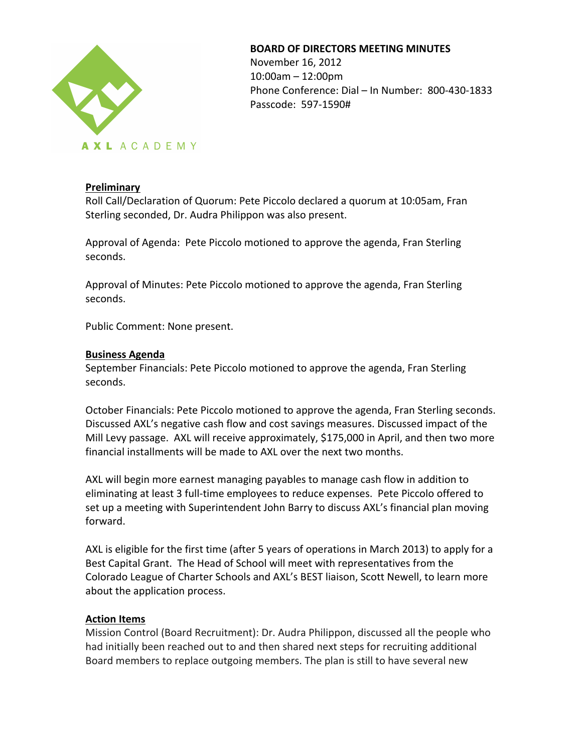

#### **BOARD OF DIRECTORS MEETING MINUTES**

November 16, 2012  $10:00$ am  $- 12:00$ pm Phone Conference: Dial - In Number: 800-430-1833 Passcode: 597-1590#

### **Preliminary**

Roll Call/Declaration of Quorum: Pete Piccolo declared a quorum at 10:05am, Fran Sterling seconded, Dr. Audra Philippon was also present.

Approval of Agenda: Pete Piccolo motioned to approve the agenda, Fran Sterling seconds.

Approval of Minutes: Pete Piccolo motioned to approve the agenda, Fran Sterling seconds.

Public Comment: None present.

#### **Business Agenda**

September Financials: Pete Piccolo motioned to approve the agenda, Fran Sterling seconds.

October Financials: Pete Piccolo motioned to approve the agenda, Fran Sterling seconds. Discussed AXL's negative cash flow and cost savings measures. Discussed impact of the Mill Levy passage. AXL will receive approximately, \$175,000 in April, and then two more financial installments will be made to AXL over the next two months.

AXL will begin more earnest managing payables to manage cash flow in addition to eliminating at least 3 full-time employees to reduce expenses. Pete Piccolo offered to set up a meeting with Superintendent John Barry to discuss AXL's financial plan moving forward. 

AXL is eligible for the first time (after 5 years of operations in March 2013) to apply for a Best Capital Grant. The Head of School will meet with representatives from the Colorado League of Charter Schools and AXL's BEST liaison, Scott Newell, to learn more about the application process.

#### **Action Items**

Mission Control (Board Recruitment): Dr. Audra Philippon, discussed all the people who had initially been reached out to and then shared next steps for recruiting additional Board members to replace outgoing members. The plan is still to have several new